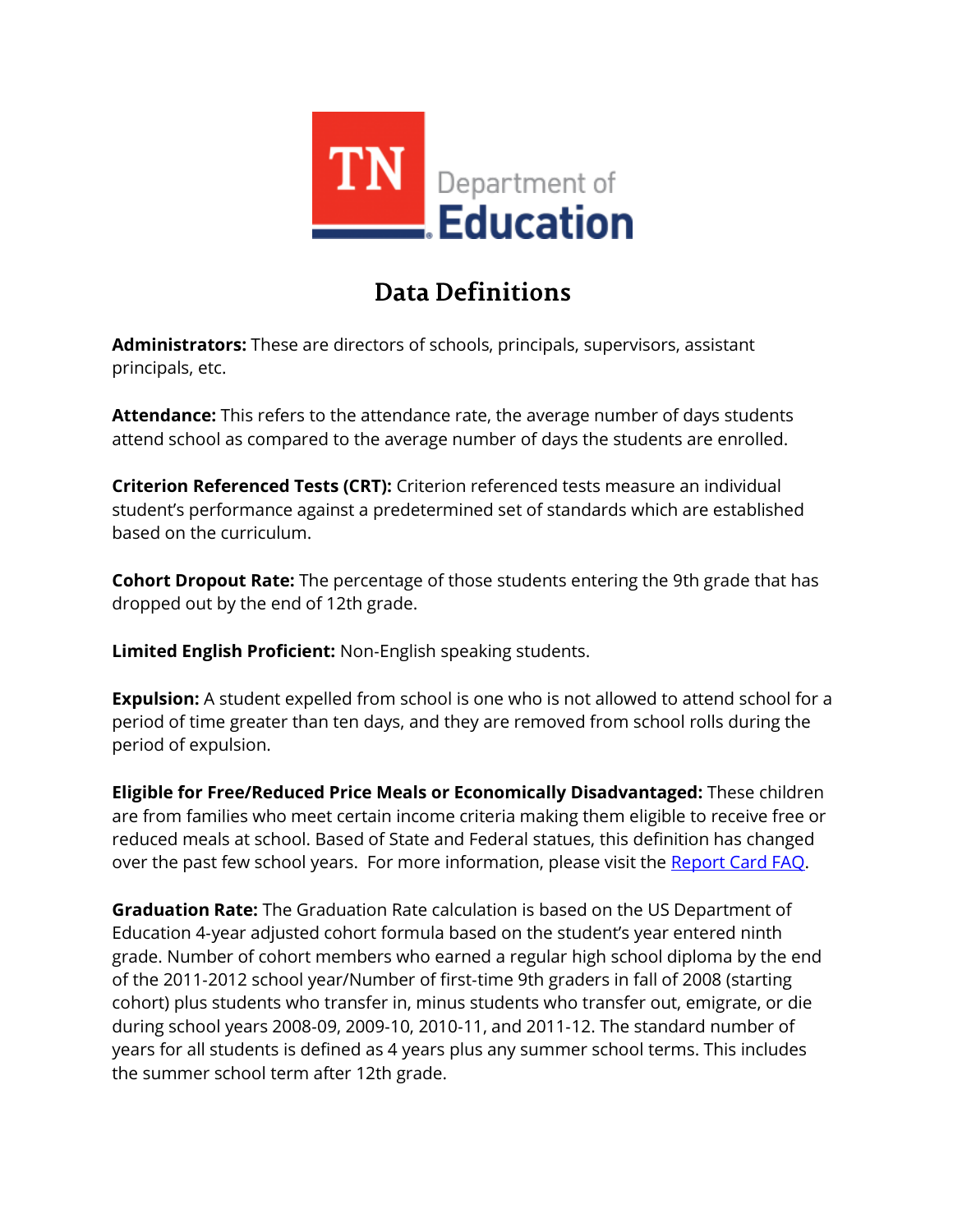

## **Data Definitions**

**Administrators:** These are directors of schools, principals, supervisors, assistant principals, etc.

**Attendance:** This refers to the attendance rate, the average number of days students attend school as compared to the average number of days the students are enrolled.

**Criterion Referenced Tests (CRT):** Criterion referenced tests measure an individual student's performance against a predetermined set of standards which are established based on the curriculum.

**Cohort Dropout Rate:** The percentage of those students entering the 9th grade that has dropped out by the end of 12th grade.

**Limited English Proficient:** Non‐English speaking students.

**Expulsion:** A student expelled from school is one who is not allowed to attend school for a period of time greater than ten days, and they are removed from school rolls during the period of expulsion.

**Eligible for Free/Reduced Price Meals or Economically Disadvantaged:** These children are from families who meet certain income criteria making them eligible to receive free or reduced meals at school. Based of State and Federal statues, this definition has changed over the past few school years. For more information, please visit the [Report Card FAQ.](https://tn.gov/assets/entities/education/attachments/rpt_crd_faq.pdf)

**Graduation Rate:** The Graduation Rate calculation is based on the US Department of Education 4‐year adjusted cohort formula based on the student's year entered ninth grade. Number of cohort members who earned a regular high school diploma by the end of the 2011‐2012 school year/Number of first‐time 9th graders in fall of 2008 (starting cohort) plus students who transfer in, minus students who transfer out, emigrate, or die during school years 2008‐09, 2009‐10, 2010‐11, and 2011‐12. The standard number of years for all students is defined as 4 years plus any summer school terms. This includes the summer school term after 12th grade.